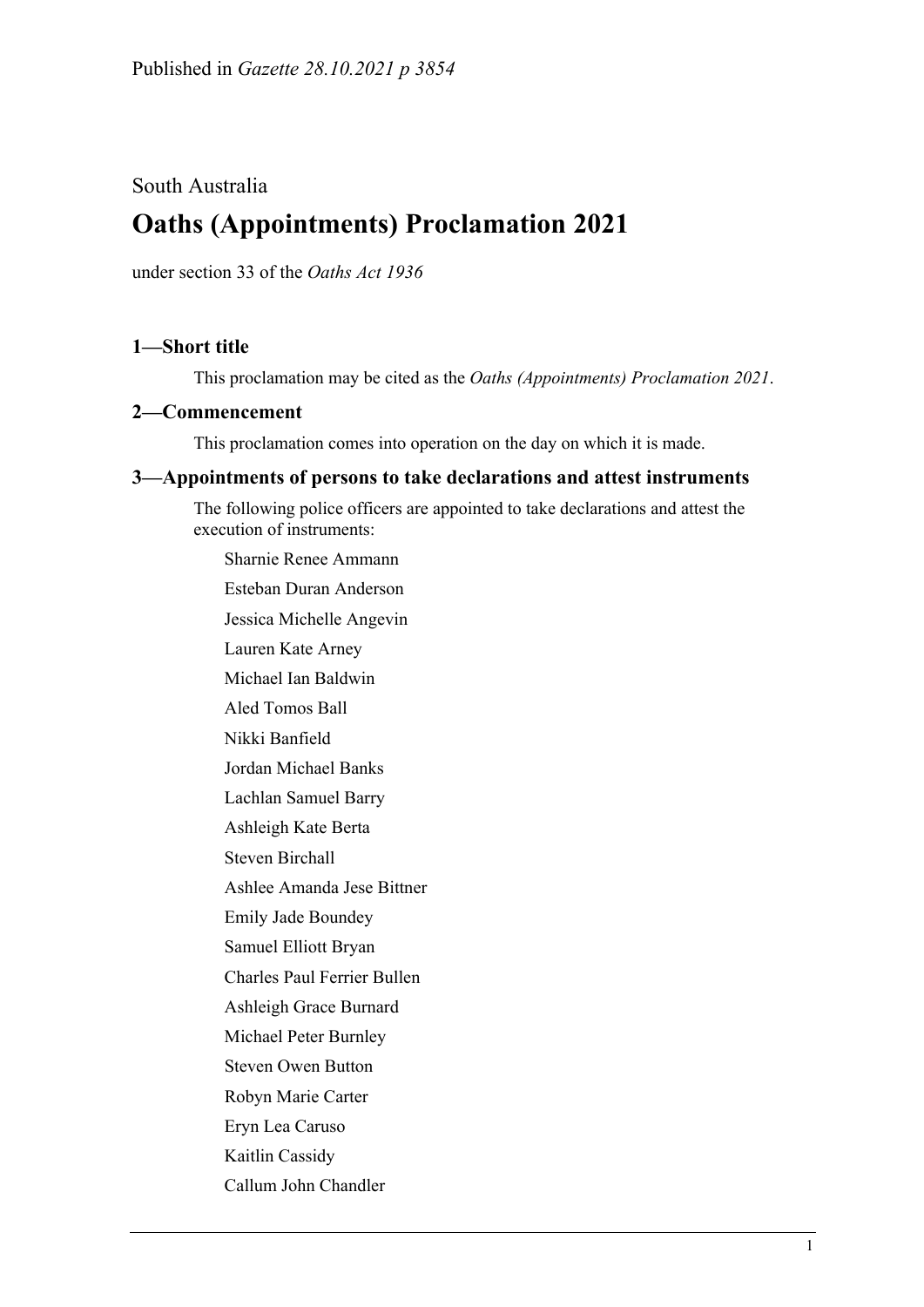## South Australia

# **Oaths (Appointments) Proclamation 2021**

under section 33 of the *Oaths Act 1936*

## **1—Short title**

This proclamation may be cited as the *Oaths (Appointments) Proclamation 2021*.

#### **2—Commencement**

This proclamation comes into operation on the day on which it is made.

### **3—Appointments of persons to take declarations and attest instruments**

The following police officers are appointed to take declarations and attest the execution of instruments:

Sharnie Renee Ammann Esteban Duran Anderson Jessica Michelle Angevin Lauren Kate Arney Michael Ian Baldwin Aled Tomos Ball Nikki Banfield Jordan Michael Banks Lachlan Samuel Barry Ashleigh Kate Berta Steven Birchall Ashlee Amanda Jese Bittner Emily Jade Boundey Samuel Elliott Bryan Charles Paul Ferrier Bullen Ashleigh Grace Burnard Michael Peter Burnley Steven Owen Button Robyn Marie Carter Eryn Lea Caruso Kaitlin Cassidy Callum John Chandler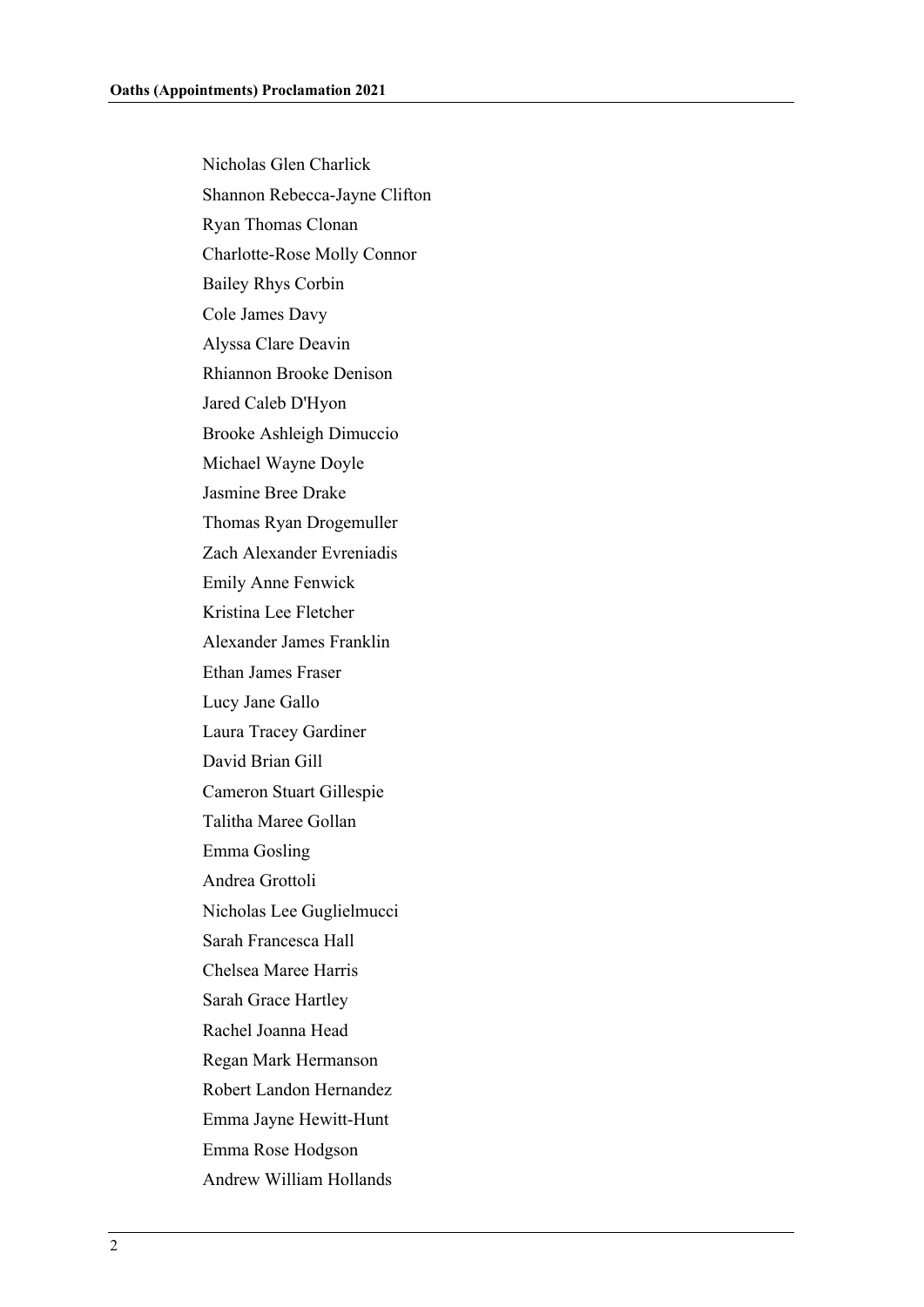Nicholas Glen Charlick Shannon Rebecca-Jayne Clifton Ryan Thomas Clonan Charlotte-Rose Molly Connor Bailey Rhys Corbin Cole James Davy Alyssa Clare Deavin Rhiannon Brooke Denison Jared Caleb D'Hyon Brooke Ashleigh Dimuccio Michael Wayne Doyle Jasmine Bree Drake Thomas Ryan Drogemuller Zach Alexander Evreniadis Emily Anne Fenwick Kristina Lee Fletcher Alexander James Franklin Ethan James Fraser Lucy Jane Gallo Laura Tracey Gardiner David Brian Gill Cameron Stuart Gillespie Talitha Maree Gollan Emma Gosling Andrea Grottoli Nicholas Lee Guglielmucci Sarah Francesca Hall Chelsea Maree Harris Sarah Grace Hartley Rachel Joanna Head Regan Mark Hermanson Robert Landon Hernandez Emma Jayne Hewitt-Hunt Emma Rose Hodgson Andrew William Hollands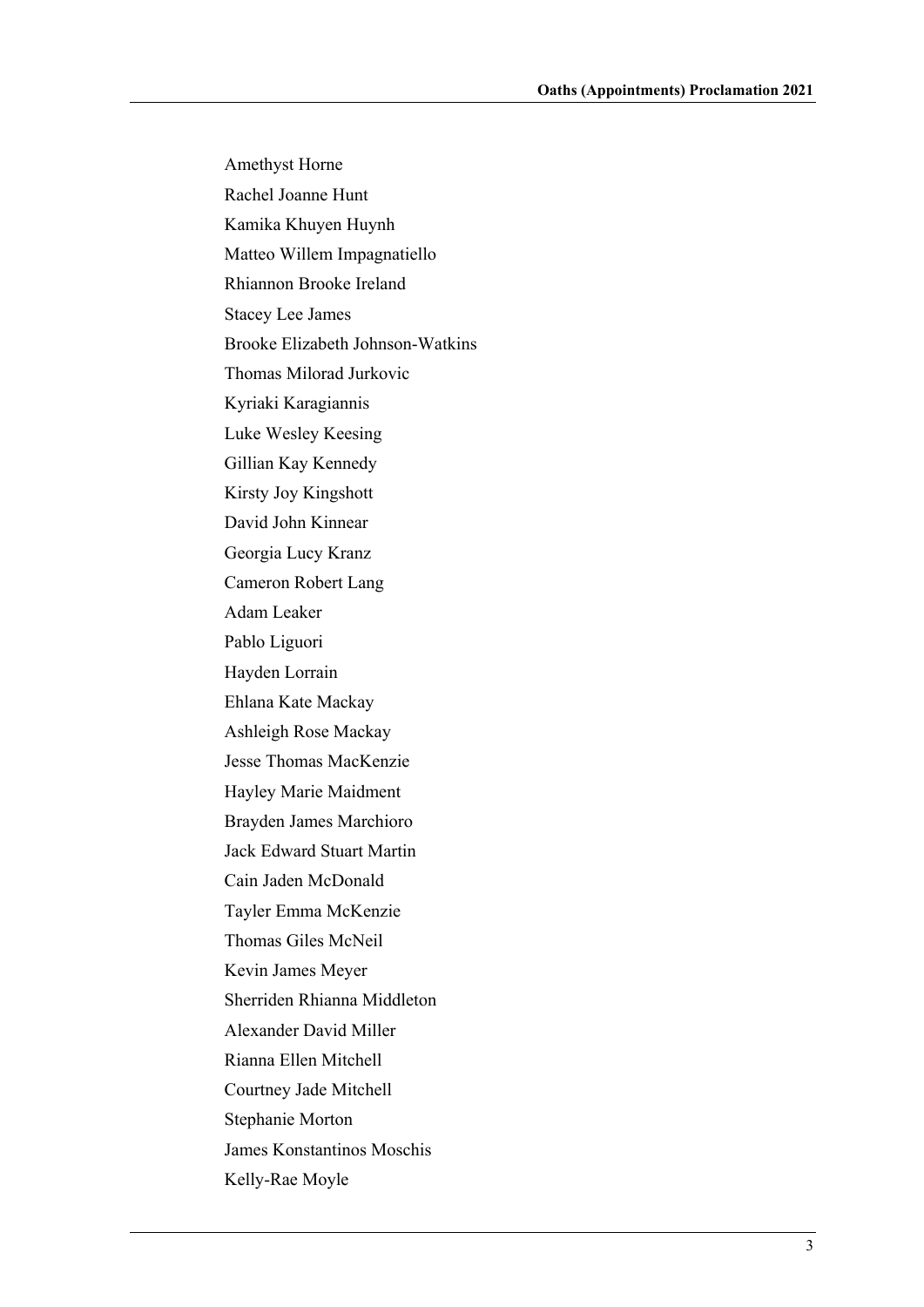Amethyst Horne Rachel Joanne Hunt Kamika Khuyen Huynh Matteo Willem Impagnatiello Rhiannon Brooke Ireland Stacey Lee James Brooke Elizabeth Johnson-Watkins Thomas Milorad Jurkovic Kyriaki Karagiannis Luke Wesley Keesing Gillian Kay Kennedy Kirsty Joy Kingshott David John Kinnear Georgia Lucy Kranz Cameron Robert Lang Adam Leaker Pablo Liguori Hayden Lorrain Ehlana Kate Mackay Ashleigh Rose Mackay Jesse Thomas MacKenzie Hayley Marie Maidment Brayden James Marchioro Jack Edward Stuart Martin Cain Jaden McDonald Tayler Emma McKenzie Thomas Giles McNeil Kevin James Meyer Sherriden Rhianna Middleton Alexander David Miller Rianna Ellen Mitchell Courtney Jade Mitchell Stephanie Morton James Konstantinos Moschis Kelly-Rae Moyle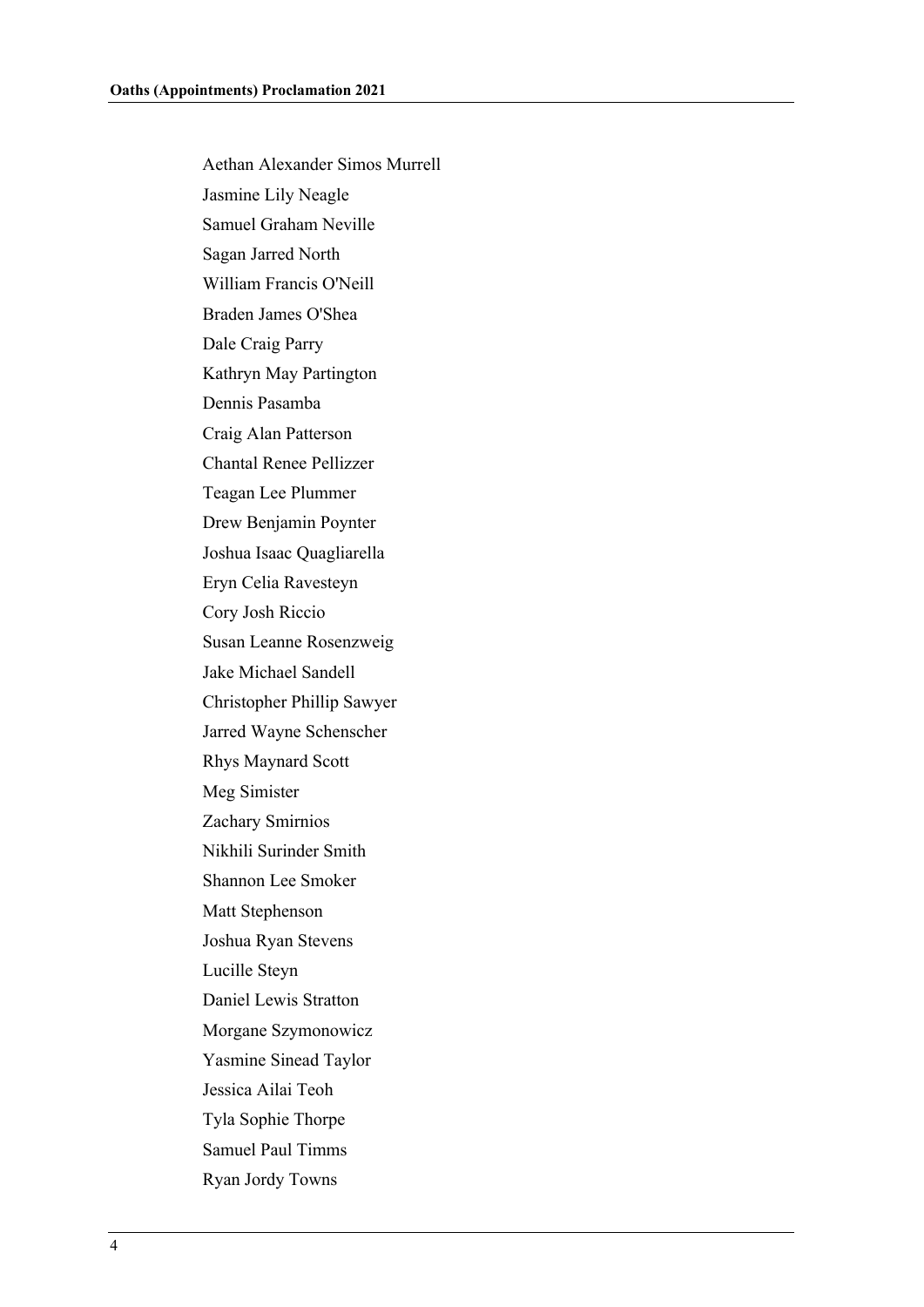Aethan Alexander Simos Murrell Jasmine Lily Neagle Samuel Graham Neville Sagan Jarred North William Francis O'Neill Braden James O'Shea Dale Craig Parry Kathryn May Partington Dennis Pasamba Craig Alan Patterson Chantal Renee Pellizzer Teagan Lee Plummer Drew Benjamin Poynter Joshua Isaac Quagliarella Eryn Celia Ravesteyn Cory Josh Riccio Susan Leanne Rosenzweig Jake Michael Sandell Christopher Phillip Sawyer Jarred Wayne Schenscher Rhys Maynard Scott Meg Simister Zachary Smirnios Nikhili Surinder Smith Shannon Lee Smoker Matt Stephenson Joshua Ryan Stevens Lucille Steyn Daniel Lewis Stratton Morgane Szymonowicz Yasmine Sinead Taylor Jessica Ailai Teoh Tyla Sophie Thorpe Samuel Paul Timms Ryan Jordy Towns